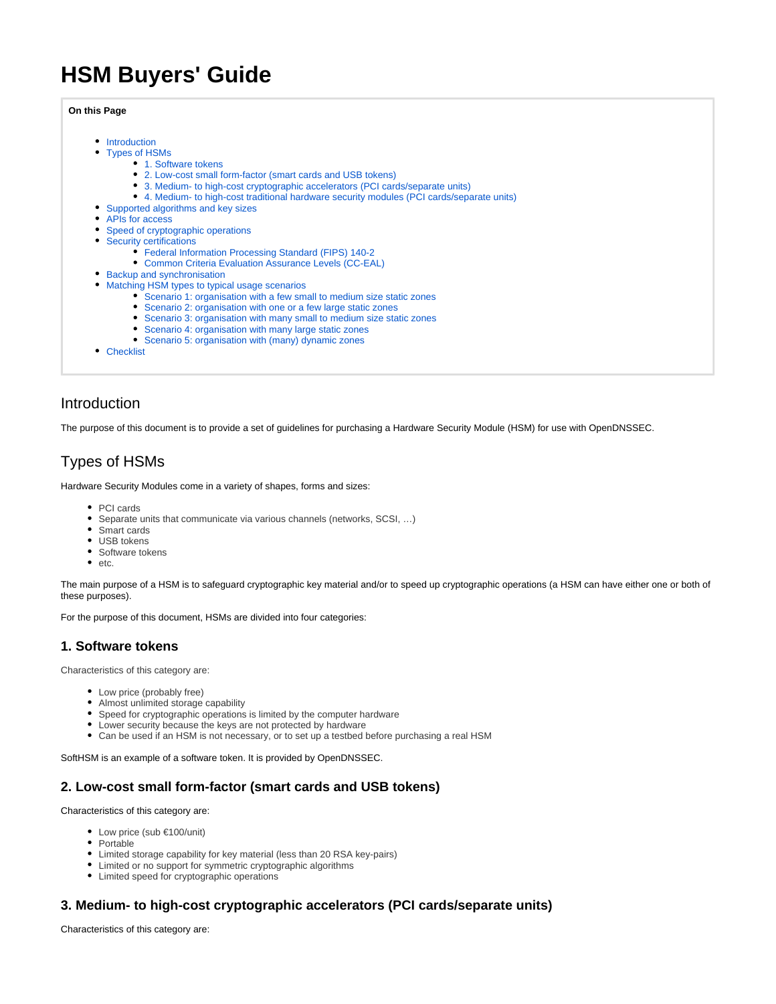# **HSM Buyers' Guide**

#### **On this Page**

- [Introduction](#page-0-0)
- [Types of HSMs](#page-0-1)
	- [1. Software tokens](#page-0-2)
	- [2. Low-cost small form-factor \(smart cards and USB tokens\)](#page-0-3)
	- [3. Medium- to high-cost cryptographic accelerators \(PCI cards/separate units\)](#page-0-4)
	- [4. Medium- to high-cost traditional hardware security modules \(PCI cards/separate units\)](#page-1-0)
- [Supported algorithms and key sizes](#page-1-1)
- [APIs for access](#page-1-2)
- [Speed of cryptographic operations](#page-1-3)
- [Security certifications](#page-1-4)
	- [Federal Information Processing Standard \(FIPS\) 140-2](#page-1-5)
	- [Common Criteria Evaluation Assurance Levels \(CC-EAL\)](#page-2-0)
- [Backup and synchronisation](#page-2-1)
- [Matching HSM types to typical usage scenarios](#page-2-2)
	- [Scenario 1: organisation with a few small to medium size static zones](#page-2-3)
	- [Scenario 2: organisation with one or a few large static zones](#page-2-4)
	- [Scenario 3: organisation with many small to medium size static zones](#page-2-5)
	- [Scenario 4: organisation with many large static zones](#page-2-6)
	- [Scenario 5: organisation with \(many\) dynamic zones](#page-2-7)
- [Checklist](#page-2-8)

# <span id="page-0-0"></span>Introduction

The purpose of this document is to provide a set of guidelines for purchasing a Hardware Security Module (HSM) for use with OpenDNSSEC.

# <span id="page-0-1"></span>Types of HSMs

Hardware Security Modules come in a variety of shapes, forms and sizes:

- PCI cards
- Separate units that communicate via various channels (networks, SCSI, …)
- Smart cards
- USB tokens
- Software tokens
- $e$  etc.

The main purpose of a HSM is to safeguard cryptographic key material and/or to speed up cryptographic operations (a HSM can have either one or both of these purposes).

For the purpose of this document, HSMs are divided into four categories:

## <span id="page-0-2"></span>**1. Software tokens**

Characteristics of this category are:

- Low price (probably free)
- Almost unlimited storage capability
- Speed for cryptographic operations is limited by the computer hardware
- Lower security because the keys are not protected by hardware
- Can be used if an HSM is not necessary, or to set up a testbed before purchasing a real HSM

SoftHSM is an example of a software token. It is provided by OpenDNSSEC.

#### <span id="page-0-3"></span>**2. Low-cost small form-factor (smart cards and USB tokens)**

Characteristics of this category are:

- Low price (sub €100/unit)
- Portable
- Limited storage capability for key material (less than 20 RSA key-pairs)
- Limited or no support for symmetric cryptographic algorithms
- Limited speed for cryptographic operations

## <span id="page-0-4"></span>**3. Medium- to high-cost cryptographic accelerators (PCI cards/separate units)**

Characteristics of this category are: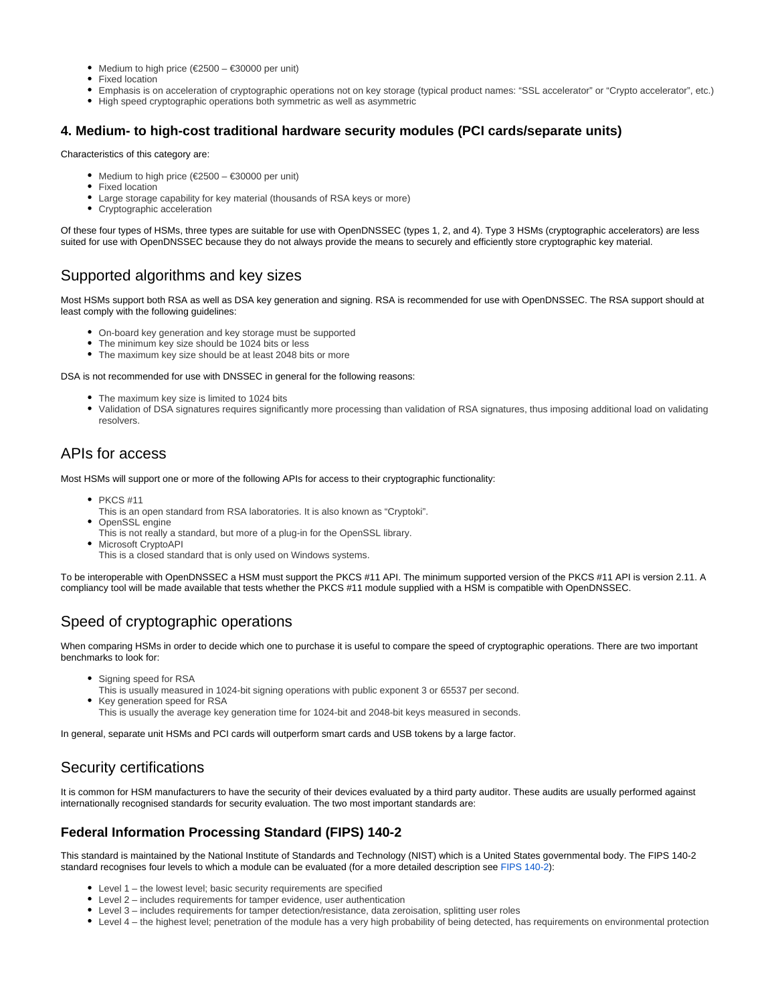- Medium to high price (€2500 €30000 per unit)
- Fixed location
- Emphasis is on acceleration of cryptographic operations not on key storage (typical product names: "SSL accelerator" or "Crypto accelerator", etc.)
- High speed cryptographic operations both symmetric as well as asymmetric

## <span id="page-1-0"></span>**4. Medium- to high-cost traditional hardware security modules (PCI cards/separate units)**

Characteristics of this category are:

- Medium to high price ( $\text{\ensuremath{\in}} 2500 \text{\ensuremath{\in}} 30000$  per unit)
- Fixed location
- Large storage capability for key material (thousands of RSA keys or more)
- Cryptographic acceleration

Of these four types of HSMs, three types are suitable for use with OpenDNSSEC (types 1, 2, and 4). Type 3 HSMs (cryptographic accelerators) are less suited for use with OpenDNSSEC because they do not always provide the means to securely and efficiently store cryptographic key material.

# <span id="page-1-1"></span>Supported algorithms and key sizes

Most HSMs support both RSA as well as DSA key generation and signing. RSA is recommended for use with OpenDNSSEC. The RSA support should at least comply with the following guidelines:

- On-board key generation and key storage must be supported
- The minimum key size should be 1024 bits or less
- The maximum key size should be at least 2048 bits or more

DSA is not recommended for use with DNSSEC in general for the following reasons:

- The maximum key size is limited to 1024 bits
- Validation of DSA signatures requires significantly more processing than validation of RSA signatures, thus imposing additional load on validating resolvers.

# <span id="page-1-2"></span>APIs for access

Most HSMs will support one or more of the following APIs for access to their cryptographic functionality:

- $\bullet$  PKCS #11
- This is an open standard from RSA laboratories. It is also known as "Cryptoki". OpenSSL engine
- This is not really a standard, but more of a plug-in for the OpenSSL library.
- **Microsoft CryptoAPI** This is a closed standard that is only used on Windows systems.

To be interoperable with OpenDNSSEC a HSM must support the PKCS #11 API. The minimum supported version of the PKCS #11 API is version 2.11. A compliancy tool will be made available that tests whether the PKCS #11 module supplied with a HSM is compatible with OpenDNSSEC.

# <span id="page-1-3"></span>Speed of cryptographic operations

When comparing HSMs in order to decide which one to purchase it is useful to compare the speed of cryptographic operations. There are two important benchmarks to look for:

- Signing speed for RSA
- This is usually measured in 1024-bit signing operations with public exponent 3 or 65537 per second.
- Key generation speed for RSA
	- This is usually the average key generation time for 1024-bit and 2048-bit keys measured in seconds.

In general, separate unit HSMs and PCI cards will outperform smart cards and USB tokens by a large factor.

# <span id="page-1-4"></span>Security certifications

It is common for HSM manufacturers to have the security of their devices evaluated by a third party auditor. These audits are usually performed against internationally recognised standards for security evaluation. The two most important standards are:

## <span id="page-1-5"></span>**Federal Information Processing Standard (FIPS) 140-2**

This standard is maintained by the National Institute of Standards and Technology (NIST) which is a United States governmental body. The FIPS 140-2 standard recognises four levels to which a module can be evaluated (for a more detailed description see [FIPS 140-2](http://en.wikipedia.org/wiki/FIPS_140-2)):

- Level 1 the lowest level; basic security requirements are specified
- Level 2 includes requirements for tamper evidence, user authentication
- Level 3 includes requirements for tamper detection/resistance, data zeroisation, splitting user roles
- Level 4 the highest level; penetration of the module has a very high probability of being detected, has requirements on environmental protection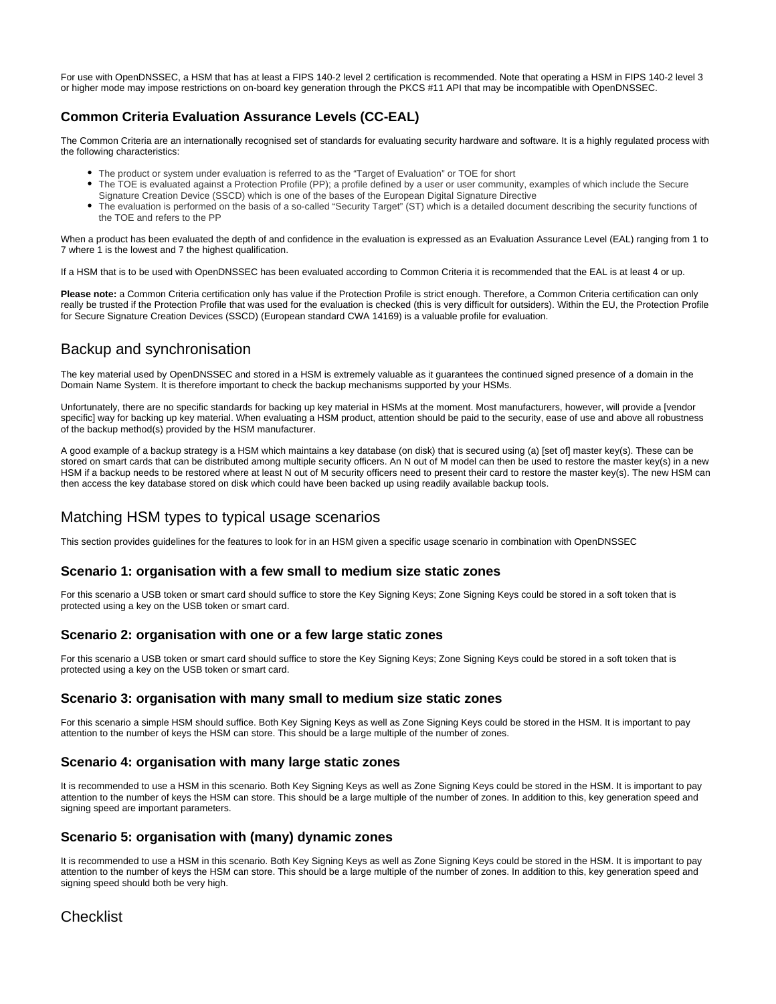For use with OpenDNSSEC, a HSM that has at least a FIPS 140-2 level 2 certification is recommended. Note that operating a HSM in FIPS 140-2 level 3 or higher mode may impose restrictions on on-board key generation through the PKCS #11 API that may be incompatible with OpenDNSSEC.

## <span id="page-2-0"></span>**Common Criteria Evaluation Assurance Levels (CC-EAL)**

The Common Criteria are an internationally recognised set of standards for evaluating security hardware and software. It is a highly regulated process with the following characteristics:

- The product or system under evaluation is referred to as the "Target of Evaluation" or TOE for short
- The TOE is evaluated against a Protection Profile (PP); a profile defined by a user or user community, examples of which include the Secure Signature Creation Device (SSCD) which is one of the bases of the European Digital Signature Directive
- The evaluation is performed on the basis of a so-called "Security Target" (ST) which is a detailed document describing the security functions of the TOE and refers to the PP

When a product has been evaluated the depth of and confidence in the evaluation is expressed as an Evaluation Assurance Level (EAL) ranging from 1 to 7 where 1 is the lowest and 7 the highest qualification.

If a HSM that is to be used with OpenDNSSEC has been evaluated according to Common Criteria it is recommended that the EAL is at least 4 or up.

**Please note:** a Common Criteria certification only has value if the Protection Profile is strict enough. Therefore, a Common Criteria certification can only really be trusted if the Protection Profile that was used for the evaluation is checked (this is very difficult for outsiders). Within the EU, the Protection Profile for Secure Signature Creation Devices (SSCD) (European standard CWA 14169) is a valuable profile for evaluation.

# <span id="page-2-1"></span>Backup and synchronisation

The key material used by OpenDNSSEC and stored in a HSM is extremely valuable as it guarantees the continued signed presence of a domain in the Domain Name System. It is therefore important to check the backup mechanisms supported by your HSMs.

Unfortunately, there are no specific standards for backing up key material in HSMs at the moment. Most manufacturers, however, will provide a [vendor specific] way for backing up key material. When evaluating a HSM product, attention should be paid to the security, ease of use and above all robustness of the backup method(s) provided by the HSM manufacturer.

A good example of a backup strategy is a HSM which maintains a key database (on disk) that is secured using (a) [set of] master key(s). These can be stored on smart cards that can be distributed among multiple security officers. An N out of M model can then be used to restore the master key(s) in a new HSM if a backup needs to be restored where at least N out of M security officers need to present their card to restore the master key(s). The new HSM can then access the key database stored on disk which could have been backed up using readily available backup tools.

# <span id="page-2-2"></span>Matching HSM types to typical usage scenarios

This section provides guidelines for the features to look for in an HSM given a specific usage scenario in combination with OpenDNSSEC

## <span id="page-2-3"></span>**Scenario 1: organisation with a few small to medium size static zones**

For this scenario a USB token or smart card should suffice to store the Key Signing Keys; Zone Signing Keys could be stored in a soft token that is protected using a key on the USB token or smart card.

## <span id="page-2-4"></span>**Scenario 2: organisation with one or a few large static zones**

For this scenario a USB token or smart card should suffice to store the Key Signing Keys; Zone Signing Keys could be stored in a soft token that is protected using a key on the USB token or smart card.

#### <span id="page-2-5"></span>**Scenario 3: organisation with many small to medium size static zones**

For this scenario a simple HSM should suffice. Both Key Signing Keys as well as Zone Signing Keys could be stored in the HSM. It is important to pay attention to the number of keys the HSM can store. This should be a large multiple of the number of zones.

## <span id="page-2-6"></span>**Scenario 4: organisation with many large static zones**

It is recommended to use a HSM in this scenario. Both Key Signing Keys as well as Zone Signing Keys could be stored in the HSM. It is important to pay attention to the number of keys the HSM can store. This should be a large multiple of the number of zones. In addition to this, key generation speed and signing speed are important parameters.

## <span id="page-2-7"></span>**Scenario 5: organisation with (many) dynamic zones**

It is recommended to use a HSM in this scenario. Both Key Signing Keys as well as Zone Signing Keys could be stored in the HSM. It is important to pay attention to the number of keys the HSM can store. This should be a large multiple of the number of zones. In addition to this, key generation speed and signing speed should both be very high.

# <span id="page-2-8"></span>**Checklist**